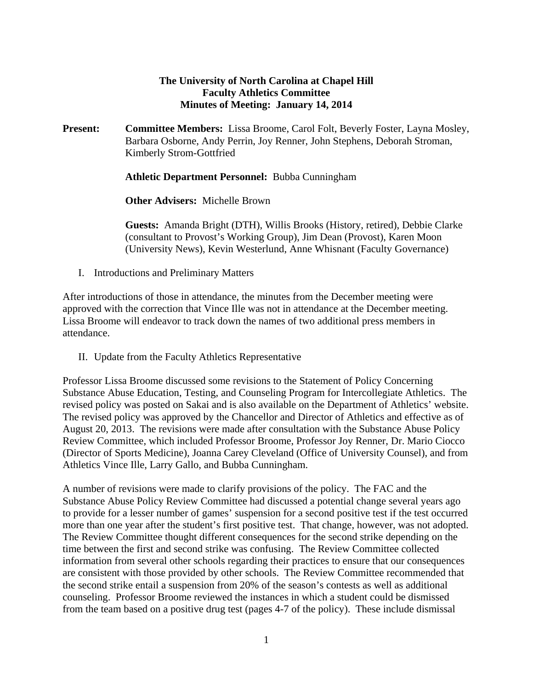# **The University of North Carolina at Chapel Hill Faculty Athletics Committee Minutes of Meeting: January 14, 2014**

**Present: Committee Members:** Lissa Broome, Carol Folt, Beverly Foster, Layna Mosley, Barbara Osborne, Andy Perrin, Joy Renner, John Stephens, Deborah Stroman, Kimberly Strom-Gottfried

**Athletic Department Personnel:** Bubba Cunningham

**Other Advisers:** Michelle Brown

**Guests:** Amanda Bright (DTH), Willis Brooks (History, retired), Debbie Clarke (consultant to Provost's Working Group), Jim Dean (Provost), Karen Moon (University News), Kevin Westerlund, Anne Whisnant (Faculty Governance)

I. Introductions and Preliminary Matters

After introductions of those in attendance, the minutes from the December meeting were approved with the correction that Vince Ille was not in attendance at the December meeting. Lissa Broome will endeavor to track down the names of two additional press members in attendance.

II. Update from the Faculty Athletics Representative

Professor Lissa Broome discussed some revisions to the Statement of Policy Concerning Substance Abuse Education, Testing, and Counseling Program for Intercollegiate Athletics. The revised policy was posted on Sakai and is also available on the Department of Athletics' website. The revised policy was approved by the Chancellor and Director of Athletics and effective as of August 20, 2013. The revisions were made after consultation with the Substance Abuse Policy Review Committee, which included Professor Broome, Professor Joy Renner, Dr. Mario Ciocco (Director of Sports Medicine), Joanna Carey Cleveland (Office of University Counsel), and from Athletics Vince Ille, Larry Gallo, and Bubba Cunningham.

A number of revisions were made to clarify provisions of the policy. The FAC and the Substance Abuse Policy Review Committee had discussed a potential change several years ago to provide for a lesser number of games' suspension for a second positive test if the test occurred more than one year after the student's first positive test. That change, however, was not adopted. The Review Committee thought different consequences for the second strike depending on the time between the first and second strike was confusing. The Review Committee collected information from several other schools regarding their practices to ensure that our consequences are consistent with those provided by other schools. The Review Committee recommended that the second strike entail a suspension from 20% of the season's contests as well as additional counseling. Professor Broome reviewed the instances in which a student could be dismissed from the team based on a positive drug test (pages 4-7 of the policy). These include dismissal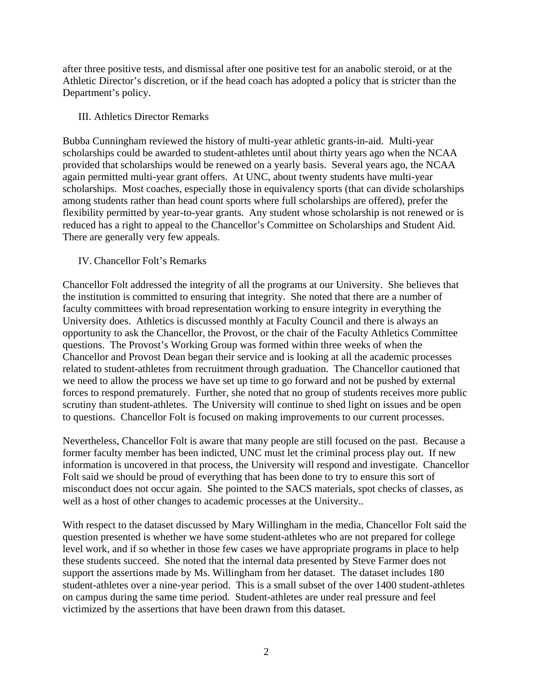after three positive tests, and dismissal after one positive test for an anabolic steroid, or at the Athletic Director's discretion, or if the head coach has adopted a policy that is stricter than the Department's policy.

### III. Athletics Director Remarks

Bubba Cunningham reviewed the history of multi-year athletic grants-in-aid. Multi-year scholarships could be awarded to student-athletes until about thirty years ago when the NCAA provided that scholarships would be renewed on a yearly basis. Several years ago, the NCAA again permitted multi-year grant offers. At UNC, about twenty students have multi-year scholarships. Most coaches, especially those in equivalency sports (that can divide scholarships among students rather than head count sports where full scholarships are offered), prefer the flexibility permitted by year-to-year grants. Any student whose scholarship is not renewed or is reduced has a right to appeal to the Chancellor's Committee on Scholarships and Student Aid. There are generally very few appeals.

# IV. Chancellor Folt's Remarks

Chancellor Folt addressed the integrity of all the programs at our University. She believes that the institution is committed to ensuring that integrity. She noted that there are a number of faculty committees with broad representation working to ensure integrity in everything the University does. Athletics is discussed monthly at Faculty Council and there is always an opportunity to ask the Chancellor, the Provost, or the chair of the Faculty Athletics Committee questions. The Provost's Working Group was formed within three weeks of when the Chancellor and Provost Dean began their service and is looking at all the academic processes related to student-athletes from recruitment through graduation. The Chancellor cautioned that we need to allow the process we have set up time to go forward and not be pushed by external forces to respond prematurely. Further, she noted that no group of students receives more public scrutiny than student-athletes. The University will continue to shed light on issues and be open to questions. Chancellor Folt is focused on making improvements to our current processes.

Nevertheless, Chancellor Folt is aware that many people are still focused on the past. Because a former faculty member has been indicted, UNC must let the criminal process play out. If new information is uncovered in that process, the University will respond and investigate. Chancellor Folt said we should be proud of everything that has been done to try to ensure this sort of misconduct does not occur again. She pointed to the SACS materials, spot checks of classes, as well as a host of other changes to academic processes at the University..

With respect to the dataset discussed by Mary Willingham in the media, Chancellor Folt said the question presented is whether we have some student-athletes who are not prepared for college level work, and if so whether in those few cases we have appropriate programs in place to help these students succeed. She noted that the internal data presented by Steve Farmer does not support the assertions made by Ms. Willingham from her dataset. The dataset includes 180 student-athletes over a nine-year period. This is a small subset of the over 1400 student-athletes on campus during the same time period. Student-athletes are under real pressure and feel victimized by the assertions that have been drawn from this dataset.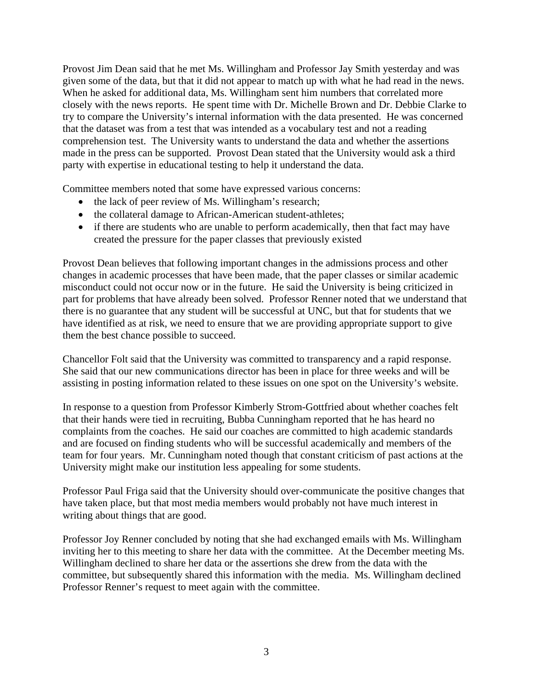Provost Jim Dean said that he met Ms. Willingham and Professor Jay Smith yesterday and was given some of the data, but that it did not appear to match up with what he had read in the news. When he asked for additional data, Ms. Willingham sent him numbers that correlated more closely with the news reports. He spent time with Dr. Michelle Brown and Dr. Debbie Clarke to try to compare the University's internal information with the data presented. He was concerned that the dataset was from a test that was intended as a vocabulary test and not a reading comprehension test. The University wants to understand the data and whether the assertions made in the press can be supported. Provost Dean stated that the University would ask a third party with expertise in educational testing to help it understand the data.

Committee members noted that some have expressed various concerns:

- the lack of peer review of Ms. Willingham's research;
- the collateral damage to African-American student-athletes;
- if there are students who are unable to perform academically, then that fact may have created the pressure for the paper classes that previously existed

Provost Dean believes that following important changes in the admissions process and other changes in academic processes that have been made, that the paper classes or similar academic misconduct could not occur now or in the future. He said the University is being criticized in part for problems that have already been solved. Professor Renner noted that we understand that there is no guarantee that any student will be successful at UNC, but that for students that we have identified as at risk, we need to ensure that we are providing appropriate support to give them the best chance possible to succeed.

Chancellor Folt said that the University was committed to transparency and a rapid response. She said that our new communications director has been in place for three weeks and will be assisting in posting information related to these issues on one spot on the University's website.

In response to a question from Professor Kimberly Strom-Gottfried about whether coaches felt that their hands were tied in recruiting, Bubba Cunningham reported that he has heard no complaints from the coaches. He said our coaches are committed to high academic standards and are focused on finding students who will be successful academically and members of the team for four years. Mr. Cunningham noted though that constant criticism of past actions at the University might make our institution less appealing for some students.

Professor Paul Friga said that the University should over-communicate the positive changes that have taken place, but that most media members would probably not have much interest in writing about things that are good.

Professor Joy Renner concluded by noting that she had exchanged emails with Ms. Willingham inviting her to this meeting to share her data with the committee. At the December meeting Ms. Willingham declined to share her data or the assertions she drew from the data with the committee, but subsequently shared this information with the media. Ms. Willingham declined Professor Renner's request to meet again with the committee.